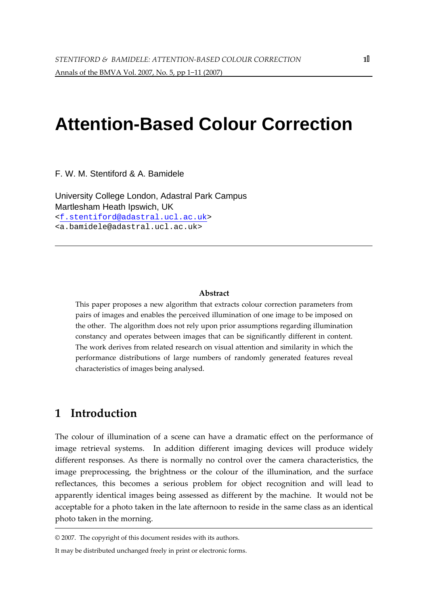# **Attention-Based Colour Correction**

F. W. M. Stentiford & A. Bamidele

University College London, Adastral Park Campus Martlesham Heath Ipswich, UK <f.stentiford@adastral.ucl.ac.uk> <a.bamidele@adastral.ucl.ac.uk>

#### Abstract

This paper proposes a new algorithm that extracts colour correction parameters from pairs of images and enables the perceived illumination of one image to be imposed on the other. The algorithm does not rely upon prior assumptions regarding illumination constancy and operates between images that can be significantly different in content. The work derives from related research on visual attention and similarity in which the performance distributions of large numbers of randomly generated features reveal characteristics of images being analysed.

### 1 Introduction

The colour of illumination of a scene can have a dramatic effect on the performance of image retrieval systems. In addition different imaging devices will produce widely different responses. As there is normally no control over the camera characteristics, the image preprocessing, the brightness or the colour of the illumination, and the surface reflectances, this becomes a serious problem for object recognition and will lead to apparently identical images being assessed as different by the machine. It would not be acceptable for a photo taken in the late afternoon to reside in the same class as an identical photo taken in the morning.

<sup>© 2007.</sup> The copyright of this document resides with its authors.

It may be distributed unchanged freely in print or electronic forms.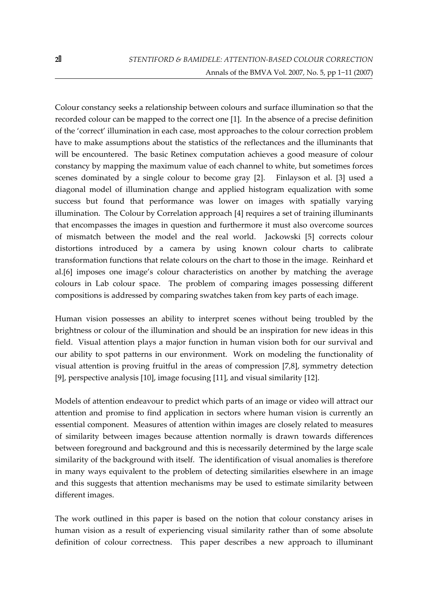Colour constancy seeks a relationship between colours and surface illumination so that the recorded colour can be mapped to the correct one [1]. In the absence of a precise definition of the 'correct' illumination in each case, most approaches to the colour correction problem have to make assumptions about the statistics of the reflectances and the illuminants that will be encountered. The basic Retinex computation achieves a good measure of colour constancy by mapping the maximum value of each channel to white, but sometimes forces scenes dominated by a single colour to become gray [2]. Finlayson et al. [3] used a diagonal model of illumination change and applied histogram equalization with some success but found that performance was lower on images with spatially varying illumination. The Colour by Correlation approach [4] requires a set of training illuminants that encompasses the images in question and furthermore it must also overcome sources of mismatch between the model and the real world. Jackowski [5] corrects colour distortions introduced by a camera by using known colour charts to calibrate transformation functions that relate colours on the chart to those in the image. Reinhard et al.[6] imposes one image's colour characteristics on another by matching the average colours in Lab colour space. The problem of comparing images possessing different compositions is addressed by comparing swatches taken from key parts of each image.

Human vision possesses an ability to interpret scenes without being troubled by the brightness or colour of the illumination and should be an inspiration for new ideas in this field. Visual attention plays a major function in human vision both for our survival and our ability to spot patterns in our environment. Work on modeling the functionality of visual attention is proving fruitful in the areas of compression [7,8], symmetry detection [9], perspective analysis [10], image focusing [11], and visual similarity [12].

Models of attention endeavour to predict which parts of an image or video will attract our attention and promise to find application in sectors where human vision is currently an essential component. Measures of attention within images are closely related to measures of similarity between images because attention normally is drawn towards differences between foreground and background and this is necessarily determined by the large scale similarity of the background with itself. The identification of visual anomalies is therefore in many ways equivalent to the problem of detecting similarities elsewhere in an image and this suggests that attention mechanisms may be used to estimate similarity between different images.

The work outlined in this paper is based on the notion that colour constancy arises in human vision as a result of experiencing visual similarity rather than of some absolute definition of colour correctness. This paper describes a new approach to illuminant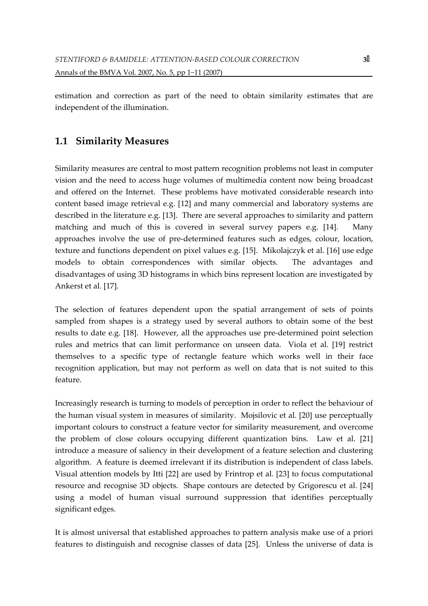estimation and correction as part of the need to obtain similarity estimates that are independent of the illumination.

## 1.1 Similarity Measures

Similarity measures are central to most pattern recognition problems not least in computer vision and the need to access huge volumes of multimedia content now being broadcast and offered on the Internet. These problems have motivated considerable research into content based image retrieval e.g. [12] and many commercial and laboratory systems are described in the literature e.g. [13]. There are several approaches to similarity and pattern matching and much of this is covered in several survey papers e.g. [14]. Many approaches involve the use of pre-determined features such as edges, colour, location, texture and functions dependent on pixel values e.g. [15]. Mikolajczyk et al. [16] use edge models to obtain correspondences with similar objects. The advantages and disadvantages of using 3D histograms in which bins represent location are investigated by Ankerst et al. [17].

The selection of features dependent upon the spatial arrangement of sets of points sampled from shapes is a strategy used by several authors to obtain some of the best results to date e.g. [18]. However, all the approaches use pre-determined point selection rules and metrics that can limit performance on unseen data. Viola et al. [19] restrict themselves to a specific type of rectangle feature which works well in their face recognition application, but may not perform as well on data that is not suited to this feature.

Increasingly research is turning to models of perception in order to reflect the behaviour of the human visual system in measures of similarity. Mojsilovic et al. [20] use perceptually important colours to construct a feature vector for similarity measurement, and overcome the problem of close colours occupying different quantization bins. Law et al. [21] introduce a measure of saliency in their development of a feature selection and clustering algorithm. A feature is deemed irrelevant if its distribution is independent of class labels. Visual attention models by Itti [22] are used by Frintrop et al. [23] to focus computational resource and recognise 3D objects. Shape contours are detected by Grigorescu et al. [24] using a model of human visual surround suppression that identifies perceptually significant edges.

It is almost universal that established approaches to pattern analysis make use of a priori features to distinguish and recognise classes of data [25]. Unless the universe of data is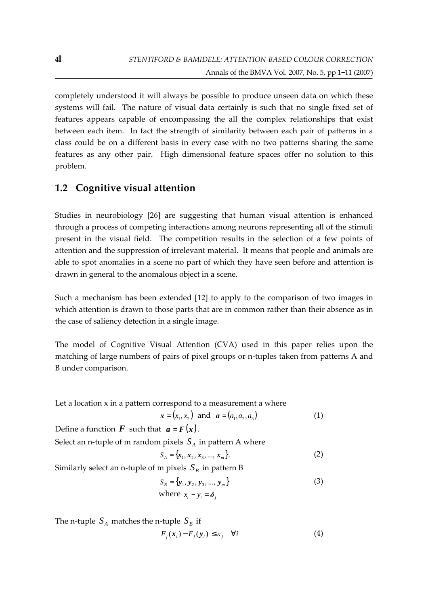completely understood it will always be possible to produce unseen data on which these systems will fail. The nature of visual data certainly is such that no single fixed set of features appears capable of encompassing the all the complex relationships that exist between each item. In fact the strength of similarity between each pair of patterns in a class could be on a different basis in every case with no two patterns sharing the same features as any other pair. High dimensional feature spaces offer no solution to this problem.

#### 1.2 Cognitive visual attention

Studies in neurobiology [26] are suggesting that human visual attention is enhanced through a process of competing interactions among neurons representing all of the stimuli present in the visual field. The competition results in the selection of a few points of attention and the suppression of irrelevant material. It means that people and animals are able to spot anomalies in a scene no part of which they have seen before and attention is drawn in general to the anomalous object in a scene.

Such a mechanism has been extended [12] to apply to the comparison of two images in which attention is drawn to those parts that are in common rather than their absence as in the case of saliency detection in a single image.

The model of Cognitive Visual Attention (CVA) used in this paper relies upon the matching of large numbers of pairs of pixel groups or n-tuples taken from patterns A and B under comparison.

Let a location  $x$  in a pattern correspond to a measurement a where

$$
x = (x_1, x_2)
$$
 and  $a = (a_1, a_2, a_3)$  (1)

Define a function  $\bf{F}$  such that  $\bf{a} = \bf{F}(\bf{x})$ .

Select an n-tuple of m random pixels  $S_A$  in pattern A where

$$
S_A = \{x_1, x_2, x_3, ..., x_m\}.
$$
 (2)

Similarly select an n-tuple of m pixels  $S_B$  in pattern B

$$
S_B = {\mathbf{y}_1, \mathbf{y}_2, \mathbf{y}_3, ..., \mathbf{y}_m}
$$
\nwhere  $x_i - y_i = \delta_j$  (3)

The n-tuple  $S_A$  matches the n-tuple  $S_B$  if  $\left| F_j(\mathbf{x}_i) - F_j(\mathbf{y}_i) \right| \leq \varepsilon_j \quad \forall i$ (4)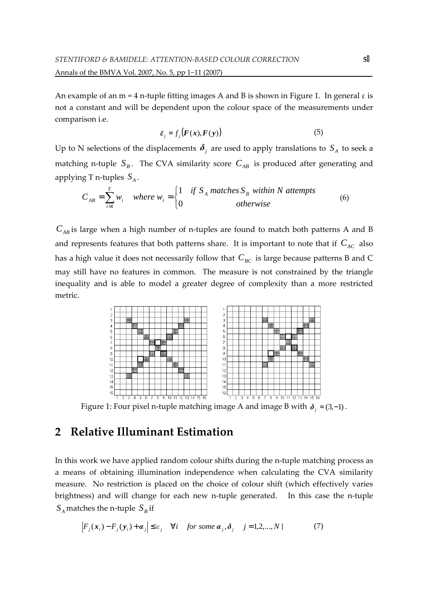An example of an m = 4 n-tuple fitting images A and B is shown in Figure 1. In general  $\varepsilon$  is not a constant and will be dependent upon the colour space of the measurements under comparison i.e.

$$
\varepsilon_j = f_j(\boldsymbol{F}(\boldsymbol{x}), \boldsymbol{F}(\boldsymbol{y})) \tag{5}
$$

Up to N selections of the displacements  $\boldsymbol{\delta}_j$  are used to apply translations to  $S_A$  to seek a matching n-tuple  $S_B$ . The CVA similarity score  $C_{AB}$  is produced after generating and applying T n-tuples *<sup>A</sup> S* .

$$
C_{AB} = \sum_{i=1}^{T} w_i \quad where \ w_i = \begin{cases} 1 & \text{if } S_A \text{ matches } S_B \text{ within } N \text{ attempts} \\ 0 & \text{otherwise} \end{cases}
$$
 (6)

 $C_{AB}$  is large when a high number of n-tuples are found to match both patterns A and B and represents features that both patterns share. It is important to note that if  $C_{AC}$  also has a high value it does not necessarily follow that  $C_{BC}$  is large because patterns B and C may still have no features in common. The measure is not constrained by the triangle inequality and is able to model a greater degree of complexity than a more restricted metric.



Figure 1: Four pixel n-tuple matching image A and image B with  $\delta_i = (3, -1)$ .

## 2 Relative Illuminant Estimation

In this work we have applied random colour shifts during the n-tuple matching process as a means of obtaining illumination independence when calculating the CVA similarity measure. No restriction is placed on the choice of colour shift (which effectively varies brightness) and will change for each new n-tuple generated. In this case the n-tuple  $S_A$  matches the n-tuple  $S_B$  if

$$
\left| F_j(\mathbf{x}_i) - F_j(\mathbf{y}_i) + \mathbf{\alpha}_j \right| \le \varepsilon_j \quad \forall i \quad \text{for some } \mathbf{\alpha}_j, \delta_j \quad j = 1, 2, \dots, N \tag{7}
$$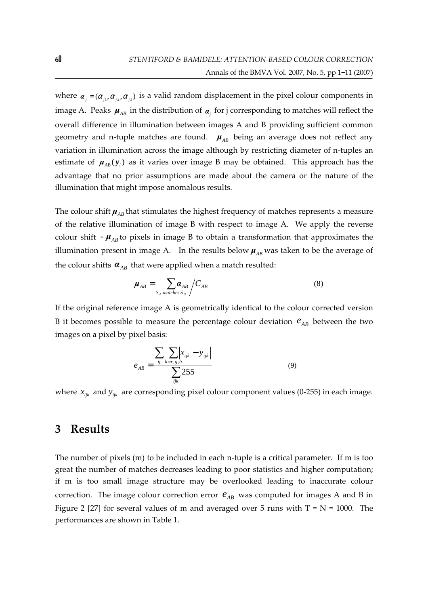where  $\alpha_j = (\alpha_{j1}, \alpha_{j2}, \alpha_{j3})$  is a valid random displacement in the pixel colour components in image A. Peaks  $\mu_{AB}$  in the distribution of  $\alpha_j$  for j corresponding to matches will reflect the overall difference in illumination between images A and B providing sufficient common geometry and n-tuple matches are found.  $\mu_{AB}$  being an average does not reflect any variation in illumination across the image although by restricting diameter of n-tuples an estimate of  $\mu_{AB}(y_i)$  as it varies over image B may be obtained. This approach has the advantage that no prior assumptions are made about the camera or the nature of the illumination that might impose anomalous results.

The colour shift  $\mu_{AB}$  that stimulates the highest frequency of matches represents a measure of the relative illumination of image B with respect to image A. We apply the reverse colour shift  $-\mu_{AB}$  to pixels in image B to obtain a transformation that approximates the illumination present in image A. In the results below  $\mu_{AB}$  was taken to be the average of the colour shifts  $\alpha_{AB}$  that were applied when a match resulted:

$$
\mu_{AB} = \sum_{S_A \text{ matches } S_B} \bigg/ C_{AB} \tag{8}
$$

If the original reference image A is geometrically identical to the colour corrected version B it becomes possible to measure the percentage colour deviation  $e_{AB}$  between the two images on a pixel by pixel basis:

$$
e_{AB} = \frac{\sum_{ij} \sum_{k=r,s,b} \left| x_{ijk} - y_{ijk} \right|}{\sum_{ijk} 255}
$$
(9)

where  $x_{ijk}$  and  $y_{ijk}$  are corresponding pixel colour component values (0-255) in each image.

#### 3 Results

The number of pixels (m) to be included in each n-tuple is a critical parameter. If m is too great the number of matches decreases leading to poor statistics and higher computation; if m is too small image structure may be overlooked leading to inaccurate colour correction. The image colour correction error  $e_{AB}$  was computed for images A and B in Figure 2 [27] for several values of m and averaged over 5 runs with  $T = N = 1000$ . The performances are shown in Table 1.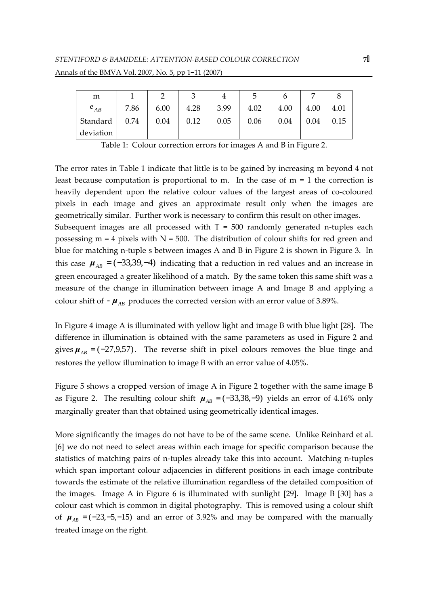| m         |      |      |      |      | b    |      | ┍    |      |
|-----------|------|------|------|------|------|------|------|------|
| $e_{AB}$  | 7.86 | 6.00 | 4.28 | 3.99 | 4.02 | 4.00 | 4.00 | 4.01 |
| Standard  | 0.74 | 0.04 | 0.12 | 0.05 | 0.06 | 0.04 | 0.04 | 0.15 |
| deviation |      |      |      |      |      |      |      |      |

Table 1: Colour correction errors for images A and B in Figure 2.

The error rates in Table 1 indicate that little is to be gained by increasing m beyond 4 not least because computation is proportional to m. In the case of  $m = 1$  the correction is heavily dependent upon the relative colour values of the largest areas of co-coloured pixels in each image and gives an approximate result only when the images are geometrically similar. Further work is necessary to confirm this result on other images. Subsequent images are all processed with  $T = 500$  randomly generated n-tuples each possessing  $m = 4$  pixels with  $N = 500$ . The distribution of colour shifts for red green and blue for matching n-tuple s between images A and B in Figure 2 is shown in Figure 3. In this case  $\mu_{AB} = (-33,39, -4)$  indicating that a reduction in red values and an increase in green encouraged a greater likelihood of a match. By the same token this same shift was a measure of the change in illumination between image A and Image B and applying a colour shift of  $\mu$ <sub>AB</sub> produces the corrected version with an error value of 3.89%.

In Figure 4 image A is illuminated with yellow light and image B with blue light [28]. The difference in illumination is obtained with the same parameters as used in Figure 2 and gives  $\mu_{AB} = (-27.9, 57)$ . The reverse shift in pixel colours removes the blue tinge and restores the yellow illumination to image B with an error value of 4.05%.

Figure 5 shows a cropped version of image A in Figure 2 together with the same image B as Figure 2. The resulting colour shift  $\mu_{AB} = (-33, 38, -9)$  yields an error of 4.16% only marginally greater than that obtained using geometrically identical images.

More significantly the images do not have to be of the same scene. Unlike Reinhard et al. [6] we do not need to select areas within each image for specific comparison because the statistics of matching pairs of n-tuples already take this into account. Matching n-tuples which span important colour adjacencies in different positions in each image contribute towards the estimate of the relative illumination regardless of the detailed composition of the images. Image A in Figure 6 is illuminated with sunlight [29]. Image B [30] has a colour cast which is common in digital photography. This is removed using a colour shift of  $\mu_{AB} = (-23, -5, -15)$  and an error of 3.92% and may be compared with the manually treated image on the right.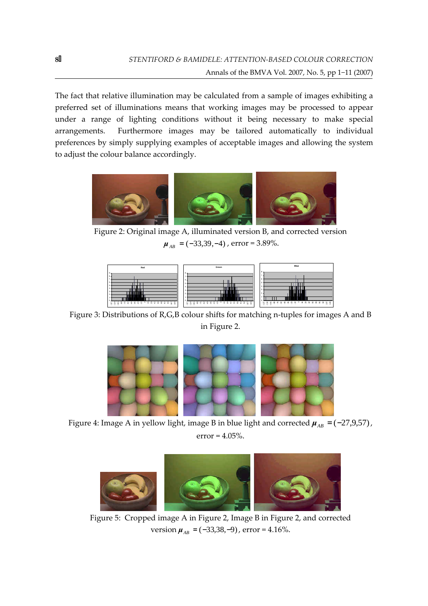The fact that relative illumination may be calculated from a sample of images exhibiting a preferred set of illuminations means that working images may be processed to appear under a range of lighting conditions without it being necessary to make special arrangements. Furthermore images may be tailored automatically to individual preferences by simply supplying examples of acceptable images and allowing the system to adjust the colour balance accordingly.



Figure 2: Original image A, illuminated version B, and corrected version  $\mu_{AB} = (-33,39,-4)$ , error = 3.89%.



Figure 3: Distributions of R,G,B colour shifts for matching n-tuples for images A and B in Figure 2.



Figure 4: Image A in yellow light, image B in blue light and corrected  $\mu_{AB} = (-27.9, 57)$ ,  $error = 4.05\%$ .



Figure 5: Cropped image A in Figure 2, Image B in Figure 2, and corrected version  $\mu_{AB} = (-33, 38, -9)$ , error = 4.16%.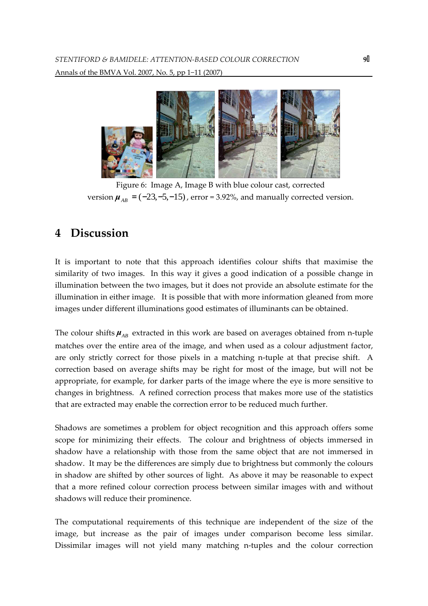

Figure 6: Image A, Image B with blue colour cast, corrected version  $\mu_{AB} = (-23,-5,-15)$ , error = 3.92%, and manually corrected version.

## 4 Discussion

It is important to note that this approach identifies colour shifts that maximise the similarity of two images. In this way it gives a good indication of a possible change in illumination between the two images, but it does not provide an absolute estimate for the illumination in either image. It is possible that with more information gleaned from more images under different illuminations good estimates of illuminants can be obtained.

The colour shifts  $\mu_{AB}$  extracted in this work are based on averages obtained from n-tuple matches over the entire area of the image, and when used as a colour adjustment factor, are only strictly correct for those pixels in a matching n-tuple at that precise shift. A correction based on average shifts may be right for most of the image, but will not be appropriate, for example, for darker parts of the image where the eye is more sensitive to changes in brightness. A refined correction process that makes more use of the statistics that are extracted may enable the correction error to be reduced much further.

Shadows are sometimes a problem for object recognition and this approach offers some scope for minimizing their effects. The colour and brightness of objects immersed in shadow have a relationship with those from the same object that are not immersed in shadow. It may be the differences are simply due to brightness but commonly the colours in shadow are shifted by other sources of light. As above it may be reasonable to expect that a more refined colour correction process between similar images with and without shadows will reduce their prominence.

The computational requirements of this technique are independent of the size of the image, but increase as the pair of images under comparison become less similar. Dissimilar images will not yield many matching n-tuples and the colour correction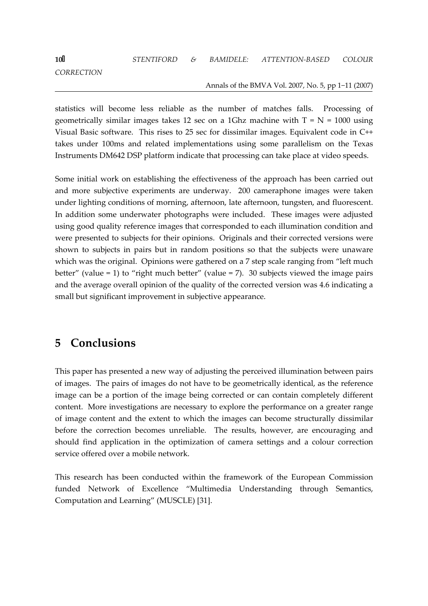**CORRECTION** 

#### Annals of the BMVA Vol. 2007, No. 5, pp 1−11 (2007)

statistics will become less reliable as the number of matches falls. Processing of geometrically similar images takes 12 sec on a 1Ghz machine with  $T = N = 1000$  using Visual Basic software. This rises to 25 sec for dissimilar images. Equivalent code in C++ takes under 100ms and related implementations using some parallelism on the Texas Instruments DM642 DSP platform indicate that processing can take place at video speeds.

Some initial work on establishing the effectiveness of the approach has been carried out and more subjective experiments are underway. 200 cameraphone images were taken under lighting conditions of morning, afternoon, late afternoon, tungsten, and fluorescent. In addition some underwater photographs were included. These images were adjusted using good quality reference images that corresponded to each illumination condition and were presented to subjects for their opinions. Originals and their corrected versions were shown to subjects in pairs but in random positions so that the subjects were unaware which was the original. Opinions were gathered on a 7 step scale ranging from "left much better" (value = 1) to "right much better" (value = 7). 30 subjects viewed the image pairs and the average overall opinion of the quality of the corrected version was 4.6 indicating a small but significant improvement in subjective appearance.

## 5 Conclusions

This paper has presented a new way of adjusting the perceived illumination between pairs of images. The pairs of images do not have to be geometrically identical, as the reference image can be a portion of the image being corrected or can contain completely different content. More investigations are necessary to explore the performance on a greater range of image content and the extent to which the images can become structurally dissimilar before the correction becomes unreliable. The results, however, are encouraging and should find application in the optimization of camera settings and a colour correction service offered over a mobile network.

This research has been conducted within the framework of the European Commission funded Network of Excellence "Multimedia Understanding through Semantics, Computation and Learning" (MUSCLE) [31].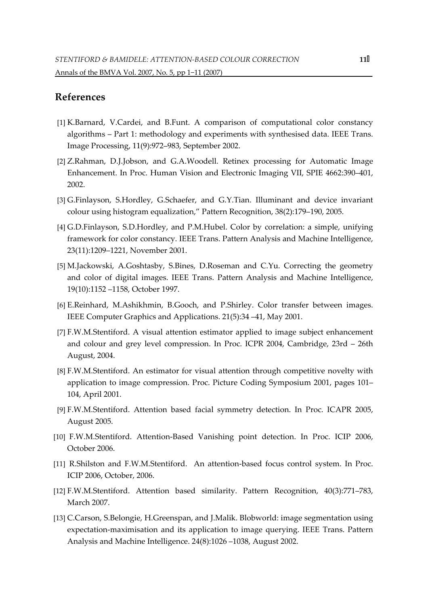#### References

- [1] K.Barnard, V.Cardei, and B.Funt. A comparison of computational color constancy algorithms – Part 1: methodology and experiments with synthesised data. IEEE Trans. Image Processing, 11(9):972–983, September 2002.
- [2] Z.Rahman, D.J.Jobson, and G.A.Woodell. Retinex processing for Automatic Image Enhancement. In Proc. Human Vision and Electronic Imaging VII, SPIE 4662:390–401, 2002.
- [3] G.Finlayson, S.Hordley, G.Schaefer, and G.Y.Tian. Illuminant and device invariant colour using histogram equalization," Pattern Recognition, 38(2):179–190, 2005.
- [4] G.D.Finlayson, S.D.Hordley, and P.M.Hubel. Color by correlation: a simple, unifying framework for color constancy. IEEE Trans. Pattern Analysis and Machine Intelligence, 23(11):1209–1221, November 2001.
- [5] M.Jackowski, A.Goshtasby, S.Bines, D.Roseman and C.Yu. Correcting the geometry and color of digital images. IEEE Trans. Pattern Analysis and Machine Intelligence, 19(10):1152 –1158, October 1997.
- [6] E.Reinhard, M.Ashikhmin, B.Gooch, and P.Shirley. Color transfer between images. IEEE Computer Graphics and Applications. 21(5):34 –41, May 2001.
- [7] F.W.M.Stentiford. A visual attention estimator applied to image subject enhancement and colour and grey level compression. In Proc. ICPR 2004, Cambridge, 23rd – 26th August, 2004.
- [8] F.W.M.Stentiford. An estimator for visual attention through competitive novelty with application to image compression. Proc. Picture Coding Symposium 2001, pages 101– 104, April 2001.
- [9] F.W.M.Stentiford. Attention based facial symmetry detection. In Proc. ICAPR 2005, August 2005.
- [10] F.W.M.Stentiford. Attention-Based Vanishing point detection. In Proc. ICIP 2006, October 2006.
- [11] R.Shilston and F.W.M.Stentiford. An attention-based focus control system. In Proc. ICIP 2006, October, 2006.
- [12] F.W.M.Stentiford. Attention based similarity. Pattern Recognition, 40(3):771–783, March 2007.
- [13] C.Carson, S.Belongie, H.Greenspan, and J.Malik. Blobworld: image segmentation using expectation-maximisation and its application to image querying. IEEE Trans. Pattern Analysis and Machine Intelligence. 24(8):1026 –1038, August 2002.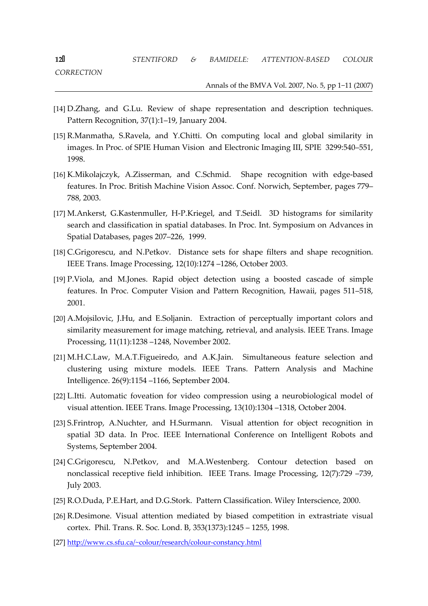**CORRECTION** 

#### Annals of the BMVA Vol. 2007, No. 5, pp 1−11 (2007)

- [14] D.Zhang, and G.Lu. Review of shape representation and description techniques. Pattern Recognition, 37(1):1–19, January 2004.
- [15] R.Manmatha, S.Ravela, and Y.Chitti. On computing local and global similarity in images. In Proc. of SPIE Human Vision and Electronic Imaging III, SPIE 3299:540–551, 1998.
- [16] K.Mikolajczyk, A.Zisserman, and C.Schmid. Shape recognition with edge-based features. In Proc. British Machine Vision Assoc. Conf. Norwich, September, pages 779– 788, 2003.
- [17] M.Ankerst, G.Kastenmuller, H-P.Kriegel, and T.Seidl. 3D histograms for similarity search and classification in spatial databases. In Proc. Int. Symposium on Advances in Spatial Databases, pages 207–226, 1999.
- [18] C.Grigorescu, and N.Petkov. Distance sets for shape filters and shape recognition. IEEE Trans. Image Processing, 12(10):1274 –1286, October 2003.
- [19] P.Viola, and M.Jones. Rapid object detection using a boosted cascade of simple features. In Proc. Computer Vision and Pattern Recognition, Hawaii, pages 511–518, 2001.
- [20] A.Mojsilovic, J.Hu, and E.Soljanin. Extraction of perceptually important colors and similarity measurement for image matching, retrieval, and analysis. IEEE Trans. Image Processing, 11(11):1238 –1248, November 2002.
- [21] M.H.C.Law, M.A.T.Figueiredo, and A.K.Jain. Simultaneous feature selection and clustering using mixture models. IEEE Trans. Pattern Analysis and Machine Intelligence. 26(9):1154 –1166, September 2004.
- [22] L.Itti. Automatic foveation for video compression using a neurobiological model of visual attention. IEEE Trans. Image Processing, 13(10):1304 –1318, October 2004.
- [23] S.Frintrop, A.Nuchter, and H.Surmann. Visual attention for object recognition in spatial 3D data. In Proc. IEEE International Conference on Intelligent Robots and Systems, September 2004.
- [24] C.Grigorescu, N.Petkov, and M.A.Westenberg. Contour detection based on nonclassical receptive field inhibition. IEEE Trans. Image Processing, 12(7):729 –739, July 2003.
- [25] R.O.Duda, P.E.Hart, and D.G.Stork. Pattern Classification. Wiley Interscience, 2000.
- [26] R.Desimone. Visual attention mediated by biased competition in extrastriate visual cortex. Phil. Trans. R. Soc. Lond. B, 353(1373):1245 – 1255, 1998.
- [27] http://www.cs.sfu.ca/~colour/research/colour-constancy.html